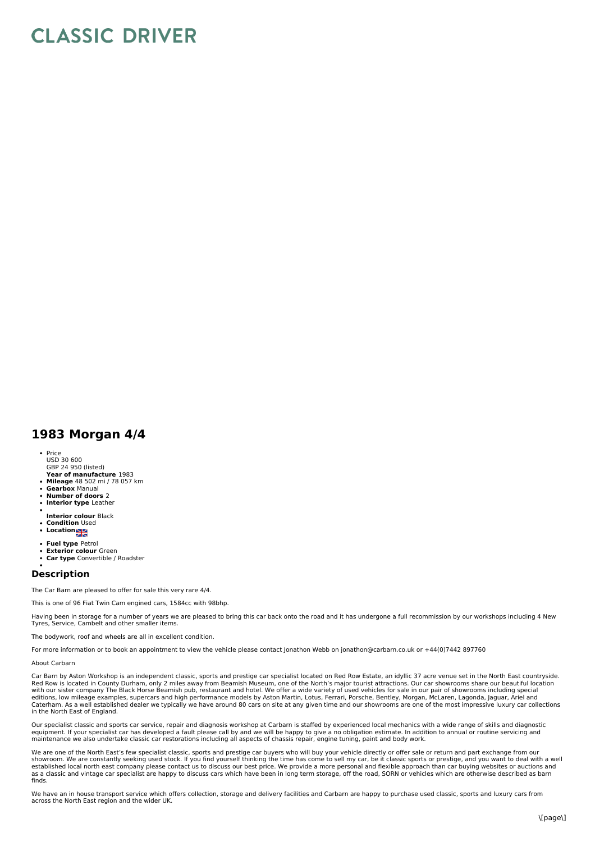## **CLASSIC DRIVER**

## **1983 Morgan 4/4**

- Price
- USD 30 600 GBP 24 950 (listed)
- **Year of manufacture** 1983
- **Mileage** 48 502 mi / 78 057 km
- **Gearbox** Manual
- **Number of doors** 2
- **Interior type** Leather
- **Interior colour** Black
- $\bullet$ **Condition** Used
- Location<sub>N</sub>
- 
- **Fuel type** Petrol
- **Exterior colour** Green **Car type** Convertible / Roadster

## **Description**

The Car Barn are pleased to offer for sale this very rare 4/4.

This is one of 96 Fiat Twin Cam engined cars, 1584cc with 98bhp.

Having been in storage for a number of years we are pleased to bring this car back onto the road and it has undergone a full recommission by our workshops including 4 New Tyres, Service, Cambelt and other smaller items.

The bodywork, roof and wheels are all in excellent condition.

For more information or to book an appointment to view the vehicle please contact Jonathon Webb on jonathon@carbarn.co.uk or +44(0)7442 897760

## About Carbarn

Car Barn by Aston Workshop is an independent classic, sports and prestige car specialist located on Red Row Estate, an idyllic 37 acre venue set in the North East countryside.<br>Red Row is located in County Durham, only 2 mi in the North East of England.

Our specialist classic and sports car service, repair and diagnosis workshop at Carbarn is staffed by experienced local mechanics with a wide range of skills and diagnostic<br>equipment. If your specialist car has developed a maintenance we also undertake classic car restorations including all aspects of chassis repair, engine tuning, paint and body work.

We are one of the North East's few specialist classic, sports and prestige car buyers who will buy your vehicle directly or offer sale or return and part exchange from our showroom. We are constantly seeking used stock. If you find yourself thinking the time has come to sell my car, be it classic sports or prestige, and you want to deal with a well<br>established local north east company please as a classic and vintage car specialist are happy to discuss cars which have been in long term storage, off the road, SORN or vehicles which are otherwise described as barn finds.

We have an in house transport service which offers collection, storage and delivery facilities and Carbarn are happy to purchase used classic, sports and luxury cars from across the North East region and the wider UK.